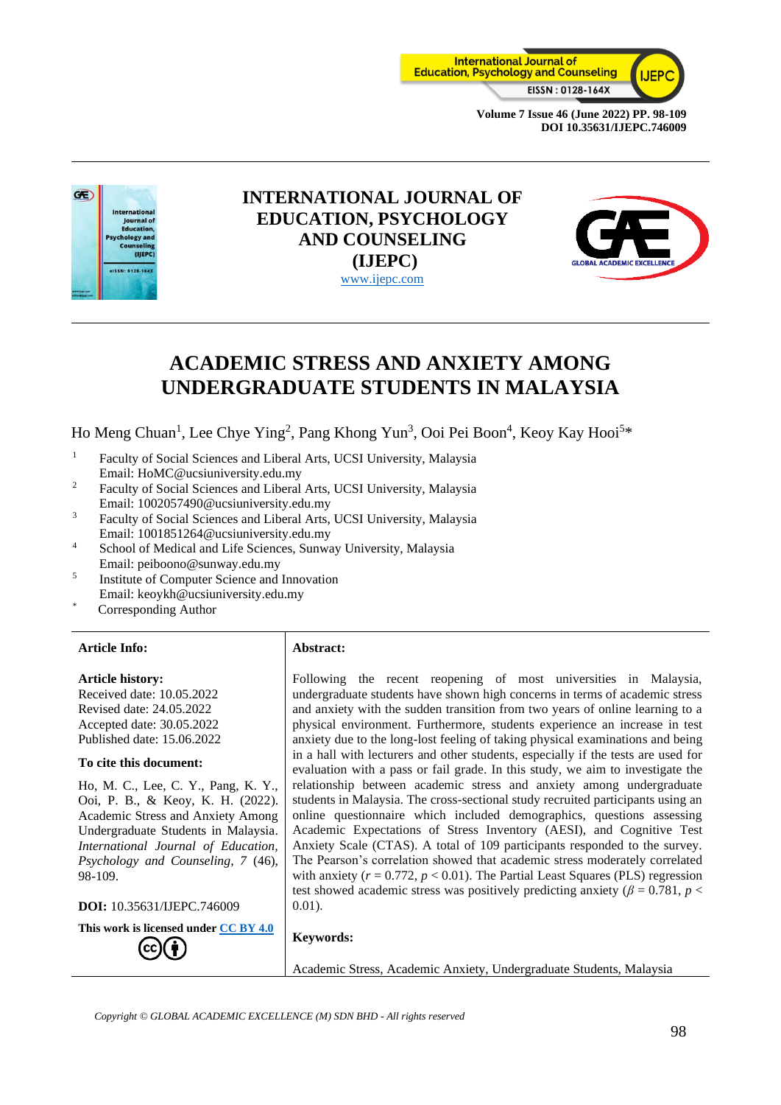



# **INTERNATIONAL JOURNAL OF EDUCATION, PSYCHOLOGY AND COUNSELING (IJEPC)** [www.ijepc.com](http://www.ijepc.com/)



# **ACADEMIC STRESS AND ANXIETY AMONG UNDERGRADUATE STUDENTS IN MALAYSIA**

Ho Meng Chuan<sup>1</sup>, Lee Chye Ying<sup>2</sup>, Pang Khong Yun<sup>3</sup>, Ooi Pei Boon<sup>4</sup>, Keoy Kay Hooi<sup>5\*</sup>

- <sup>1</sup> Faculty of Social Sciences and Liberal Arts, UCSI University, Malaysia Email: HoMC@ucsiuniversity.edu.my
- <sup>2</sup> Faculty of Social Sciences and Liberal Arts, UCSI University, Malaysia Email: 1002057490@ucsiuniversity.edu.my
- <sup>3</sup> Faculty of Social Sciences and Liberal Arts, UCSI University, Malaysia Email: 1001851264@ucsiuniversity.edu.my
- <sup>4</sup> School of Medical and Life Sciences, Sunway University, Malaysia Email: peiboono@sunway.edu.my
- 5 Institute of Computer Science and Innovation Email: keoykh@ucsiuniversity.edu.my
- Corresponding Author

#### **Article Info: Abstract:**

#### **Article history:**

Received date: 10.05.2022 Revised date: 24.05.2022 Accepted date: 30.05.2022 Published date: 15.06.2022

#### **To cite this document:**

Ho, M. C., Lee, C. Y., Pang, K. Y., Ooi, P. B., & Keoy, K. H. (2022). Academic Stress and Anxiety Among Undergraduate Students in Malaysia. *International Journal of Education, Psychology and Counseling, 7* (46), 98-109.

**DOI:** 10.35631/IJEPC.746009

**This work is licensed under [CC BY 4.0](https://creativecommons.org/licenses/by/4.0/?ref=chooser-v1)**

Following the recent reopening of most universities in Malaysia, undergraduate students have shown high concerns in terms of academic stress and anxiety with the sudden transition from two years of online learning to a physical environment. Furthermore, students experience an increase in test anxiety due to the long-lost feeling of taking physical examinations and being in a hall with lecturers and other students, especially if the tests are used for evaluation with a pass or fail grade. In this study, we aim to investigate the relationship between academic stress and anxiety among undergraduate students in Malaysia. The cross-sectional study recruited participants using an online questionnaire which included demographics, questions assessing Academic Expectations of Stress Inventory (AESI), and Cognitive Test Anxiety Scale (CTAS). A total of 109 participants responded to the survey. The Pearson's correlation showed that academic stress moderately correlated with anxiety  $(r = 0.772, p < 0.01)$ . The Partial Least Squares (PLS) regression test showed academic stress was positively predicting anxiety ( $\beta$  = 0.781, *p* < 0.01).

#### **Keywords:**

Academic Stress, Academic Anxiety, Undergraduate Students, Malaysia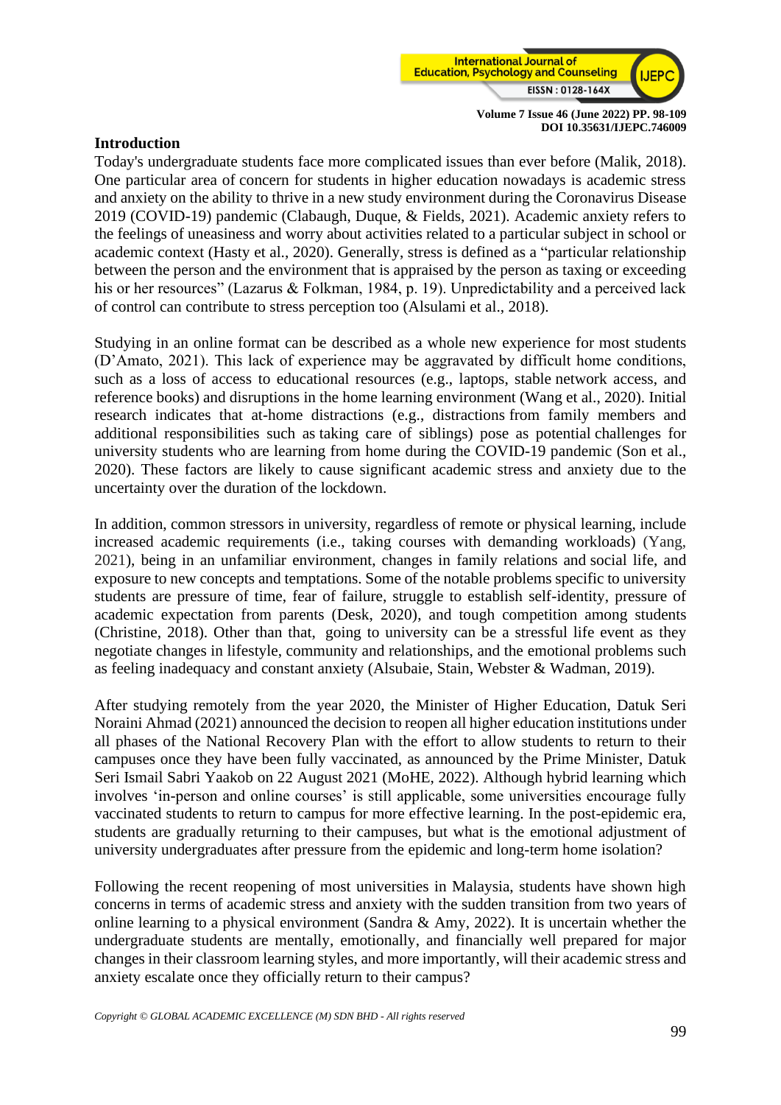

#### **Introduction**

Today's undergraduate students face more complicated issues than ever before (Malik, 2018). One particular area of concern for students in higher education nowadays is academic stress and anxiety on the ability to thrive in a new study environment during the Coronavirus Disease 2019 (COVID-19) pandemic (Clabaugh, Duque, & Fields, 2021). Academic anxiety refers to the feelings of uneasiness and worry about activities related to a particular subject in school or academic context (Hasty et al., 2020). Generally, stress is defined as a "particular relationship between the person and the environment that is appraised by the person as taxing or exceeding his or her resources" (Lazarus & Folkman, 1984, p. 19). Unpredictability and a perceived lack of control can contribute to stress perception too (Alsulami et al., 2018).

Studying in an online format can be described as a whole new experience for most students (D'Amato, 2021). This lack of experience may be aggravated by difficult home conditions, such as a loss of access to educational resources (e.g., laptops, stable network access, and reference books) and disruptions in the home learning environment (Wang et al., 2020). Initial research indicates that at-home distractions (e.g., distractions from family members and additional responsibilities such as taking care of siblings) pose as potential challenges for university students who are learning from home during the COVID-19 pandemic (Son et al., 2020). These factors are likely to cause significant academic stress and anxiety due to the uncertainty over the duration of the lockdown.

In addition, common stressors in university, regardless of remote or physical learning, include increased academic requirements (i.e., taking courses with demanding workloads) (Yang, 2021), being in an unfamiliar environment, changes in family relations and social life, and exposure to new concepts and temptations. Some of the notable problems specific to university students are pressure of time, fear of failure, struggle to establish self-identity, pressure of academic expectation from parents (Desk, 2020), and tough competition among students (Christine, 2018). Other than that, going to university can be a stressful life event as they negotiate changes in lifestyle, community and relationships, and the emotional problems such as feeling inadequacy and constant anxiety (Alsubaie, Stain, Webster & Wadman, 2019).

After studying remotely from the year 2020, the Minister of Higher Education, Datuk Seri Noraini Ahmad (2021) announced the decision to reopen all higher education institutions under all phases of the National Recovery Plan with the effort to allow students to return to their campuses once they have been fully vaccinated, as announced by the Prime Minister, Datuk Seri Ismail Sabri Yaakob on 22 August 2021 (MoHE, 2022). Although hybrid learning which involves 'in-person and online courses' is still applicable, some universities encourage fully vaccinated students to return to campus for more effective learning. In the post-epidemic era, students are gradually returning to their campuses, but what is the emotional adjustment of university undergraduates after pressure from the epidemic and long-term home isolation?

Following the recent reopening of most universities in Malaysia, students have shown high concerns in terms of academic stress and anxiety with the sudden transition from two years of online learning to a physical environment (Sandra & Amy, 2022). It is uncertain whether the undergraduate students are mentally, emotionally, and financially well prepared for major changes in their classroom learning styles, and more importantly, will their academic stress and anxiety escalate once they officially return to their campus?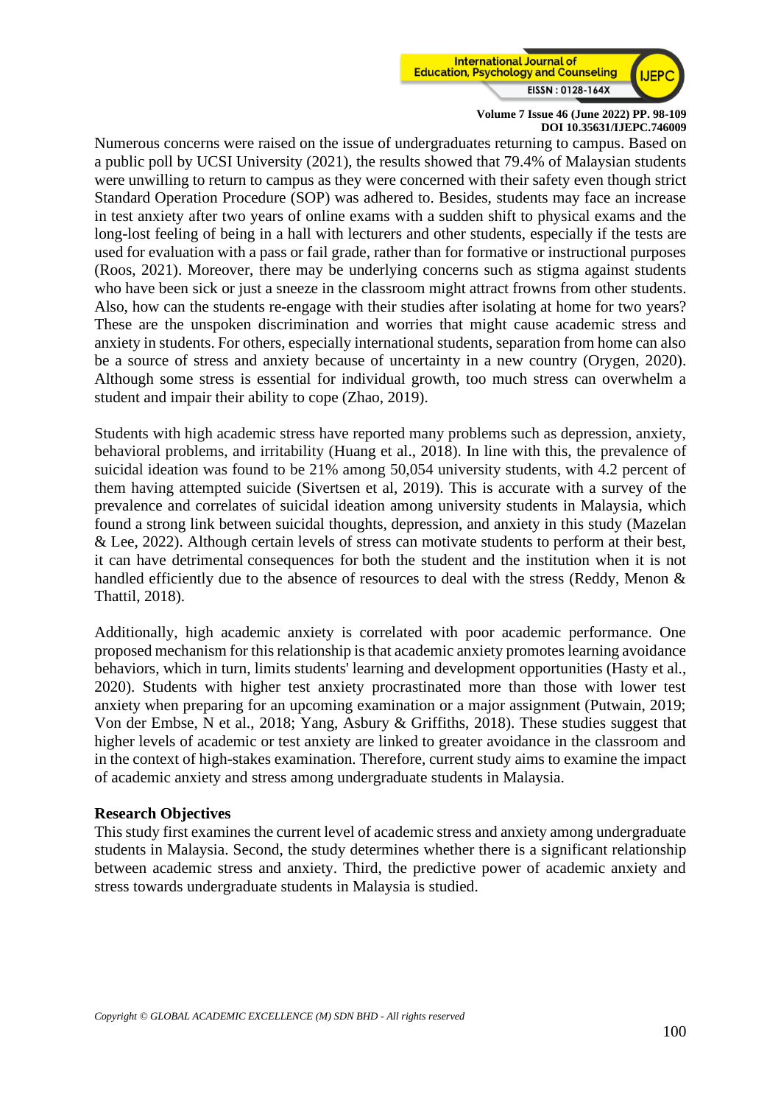

Numerous concerns were raised on the issue of undergraduates returning to campus. Based on a public poll by UCSI University (2021), the results showed that 79.4% of Malaysian students were unwilling to return to campus as they were concerned with their safety even though strict Standard Operation Procedure (SOP) was adhered to. Besides, students may face an increase in test anxiety after two years of online exams with a sudden shift to physical exams and the long-lost feeling of being in a hall with lecturers and other students, especially if the tests are used for evaluation with a pass or fail grade, rather than for formative or instructional purposes (Roos, 2021). Moreover, there may be underlying concerns such as stigma against students who have been sick or just a sneeze in the classroom might attract frowns from other students. Also, how can the students re-engage with their studies after isolating at home for two years? These are the unspoken discrimination and worries that might cause academic stress and anxiety in students. For others, especially international students, separation from home can also be a source of stress and anxiety because of uncertainty in a new country (Orygen, 2020). Although some stress is essential for individual growth, too much stress can overwhelm a student and impair their ability to cope (Zhao, 2019).

Students with high academic stress have reported many problems such as depression, anxiety, behavioral problems, and irritability (Huang et al., 2018). In line with this, the prevalence of suicidal ideation was found to be 21% among 50,054 university students, with 4.2 percent of them having attempted suicide (Sivertsen et al, 2019). This is accurate with a survey of the prevalence and correlates of suicidal ideation among university students in Malaysia, which found a strong link between suicidal thoughts, depression, and anxiety in this study (Mazelan & Lee, 2022). Although certain levels of stress can motivate students to perform at their best, it can have detrimental consequences for both the student and the institution when it is not handled efficiently due to the absence of resources to deal with the stress (Reddy, Menon & Thattil, 2018).

Additionally, high academic anxiety is correlated with poor academic performance. One proposed mechanism for this relationship is that academic anxiety promotes learning avoidance behaviors, which in turn, limits students' learning and development opportunities (Hasty et al., 2020). Students with higher test anxiety procrastinated more than those with lower test anxiety when preparing for an upcoming examination or a major assignment (Putwain, 2019; Von der Embse, N et al., 2018; Yang, Asbury & Griffiths, 2018). These studies suggest that higher levels of academic or test anxiety are linked to greater avoidance in the classroom and in the context of high-stakes examination. Therefore, current study aims to examine the impact of academic anxiety and stress among undergraduate students in Malaysia.

#### **Research Objectives**

This study first examines the current level of academic stress and anxiety among undergraduate students in Malaysia. Second, the study determines whether there is a significant relationship between academic stress and anxiety. Third, the predictive power of academic anxiety and stress towards undergraduate students in Malaysia is studied.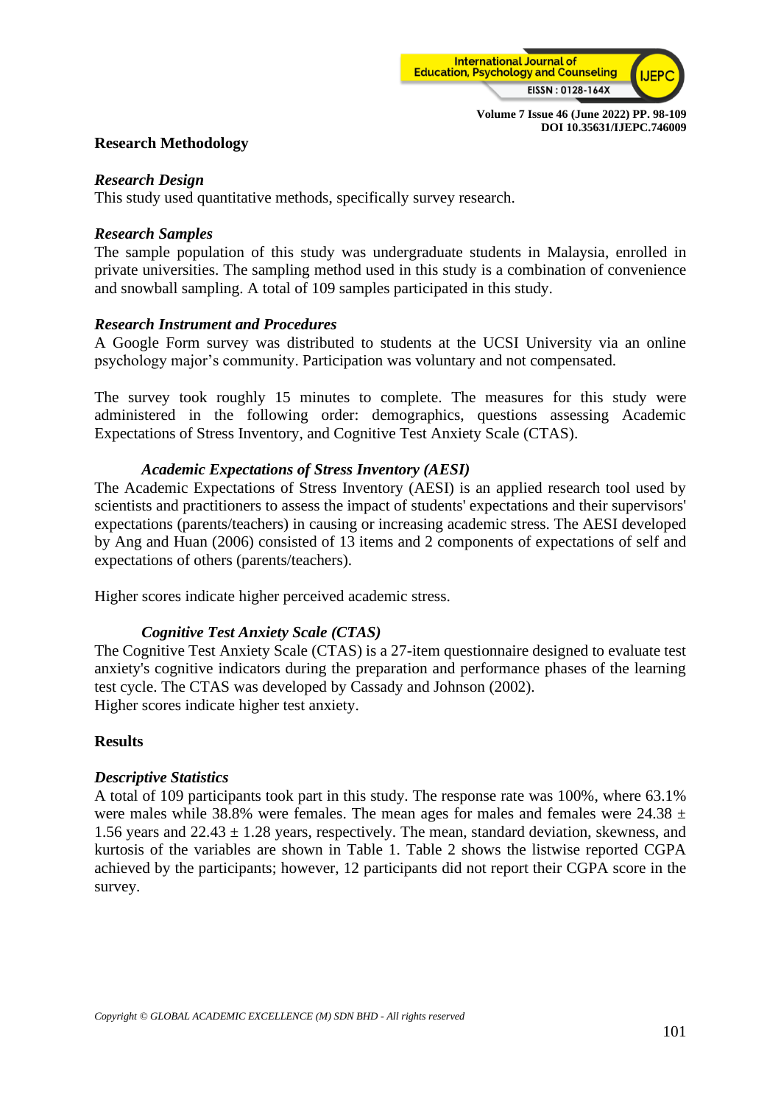

# **Research Methodology**

#### *Research Design*

This study used quantitative methods, specifically survey research.

#### *Research Samples*

The sample population of this study was undergraduate students in Malaysia, enrolled in private universities. The sampling method used in this study is a combination of convenience and snowball sampling. A total of 109 samples participated in this study.

#### *Research Instrument and Procedures*

A Google Form survey was distributed to students at the UCSI University via an online psychology major's community. Participation was voluntary and not compensated.

The survey took roughly 15 minutes to complete. The measures for this study were administered in the following order: demographics, questions assessing Academic Expectations of Stress Inventory, and Cognitive Test Anxiety Scale (CTAS).

# *Academic Expectations of Stress Inventory (AESI)*

The Academic Expectations of Stress Inventory (AESI) is an applied research tool used by scientists and practitioners to assess the impact of students' expectations and their supervisors' expectations (parents/teachers) in causing or increasing academic stress. The AESI developed by Ang and Huan (2006) consisted of 13 items and 2 components of expectations of self and expectations of others (parents/teachers).

Higher scores indicate higher perceived academic stress.

# *Cognitive Test Anxiety Scale (CTAS)*

The Cognitive Test Anxiety Scale (CTAS) is a 27-item questionnaire designed to evaluate test anxiety's cognitive indicators during the preparation and performance phases of the learning test cycle. The CTAS was developed by Cassady and Johnson (2002). Higher scores indicate higher test anxiety.

# **Results**

# *Descriptive Statistics*

A total of 109 participants took part in this study. The response rate was 100%, where 63.1% were males while 38.8% were females. The mean ages for males and females were  $24.38 \pm 10^{-10}$ 1.56 years and  $22.43 \pm 1.28$  years, respectively. The mean, standard deviation, skewness, and kurtosis of the variables are shown in Table 1. Table 2 shows the listwise reported CGPA achieved by the participants; however, 12 participants did not report their CGPA score in the survey.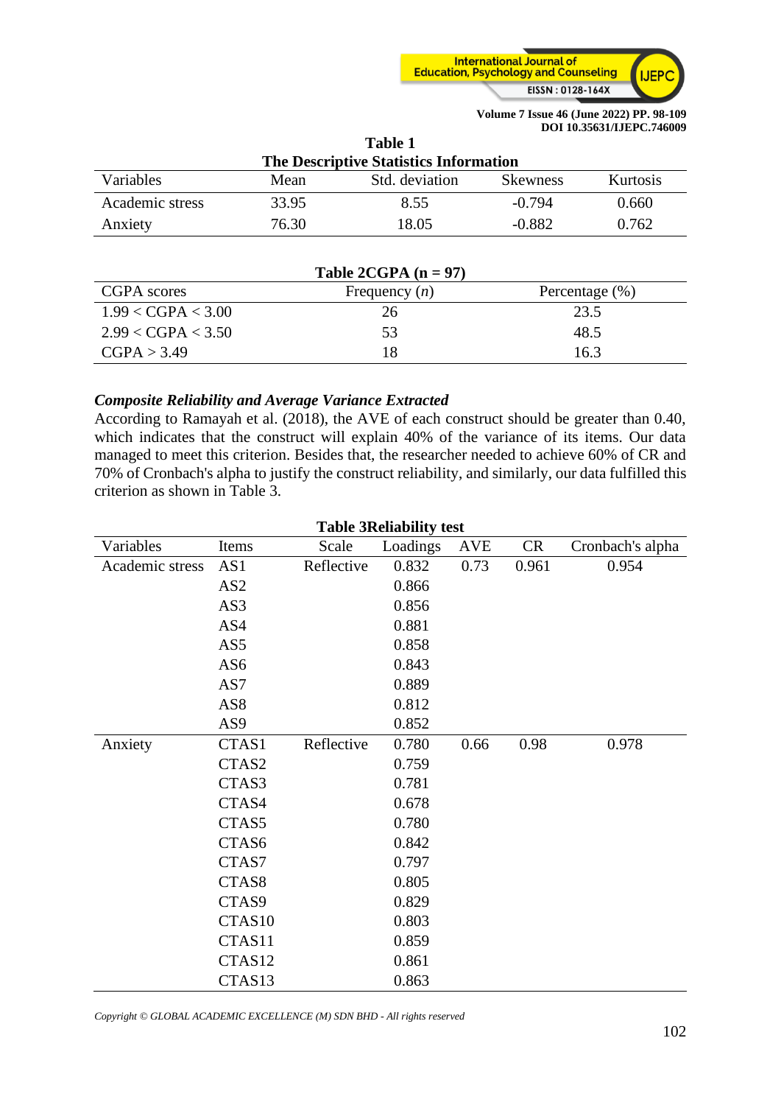

| Table 1                                       |       |                |                 |          |  |  |
|-----------------------------------------------|-------|----------------|-----------------|----------|--|--|
| <b>The Descriptive Statistics Information</b> |       |                |                 |          |  |  |
| Variables                                     | Mean  | Std. deviation | <b>Skewness</b> | Kurtosis |  |  |
| Academic stress                               | 33.95 | 8.55           | $-0.794$        | 0.660    |  |  |
| Anxiety                                       | 76.30 | 18.05          | $-0.882$        | 0.762    |  |  |

| Table 2CGPA $(n = 97)$ |                 |                    |  |  |  |
|------------------------|-----------------|--------------------|--|--|--|
| CGPA scores            | Frequency $(n)$ | Percentage $(\% )$ |  |  |  |
| 1.99 < CGPA < 3.00     | 26              | 23.5               |  |  |  |
| 2.99 < CGPA < 3.50     | 53              | 48.5               |  |  |  |
| CGPA > 3.49            | 18              | 16.3               |  |  |  |

# *Composite Reliability and Average Variance Extracted*

According to Ramayah et al. (2018), the AVE of each construct should be greater than 0.40, which indicates that the construct will explain 40% of the variance of its items. Our data managed to meet this criterion. Besides that, the researcher needed to achieve 60% of CR and 70% of Cronbach's alpha to justify the construct reliability, and similarly, our data fulfilled this criterion as shown in Table 3.

| <b>Table 3Reliability test</b> |                 |            |          |            |           |                  |  |
|--------------------------------|-----------------|------------|----------|------------|-----------|------------------|--|
| Variables                      | Items           | Scale      | Loadings | <b>AVE</b> | <b>CR</b> | Cronbach's alpha |  |
| Academic stress                | AS1             | Reflective | 0.832    | 0.73       | 0.961     | 0.954            |  |
|                                | AS <sub>2</sub> |            | 0.866    |            |           |                  |  |
|                                | AS3             |            | 0.856    |            |           |                  |  |
|                                | AS4             |            | 0.881    |            |           |                  |  |
|                                | AS5             |            | 0.858    |            |           |                  |  |
|                                | AS6             |            | 0.843    |            |           |                  |  |
|                                | AS7             |            | 0.889    |            |           |                  |  |
|                                | AS8             |            | 0.812    |            |           |                  |  |
|                                | AS <sub>9</sub> |            | 0.852    |            |           |                  |  |
| Anxiety                        | CTAS1           | Reflective | 0.780    | 0.66       | 0.98      | 0.978            |  |
|                                | CTAS2           |            | 0.759    |            |           |                  |  |
|                                | CTAS3           |            | 0.781    |            |           |                  |  |
|                                | CTAS4           |            | 0.678    |            |           |                  |  |
|                                | CTAS5           |            | 0.780    |            |           |                  |  |
|                                | CTAS6           |            | 0.842    |            |           |                  |  |
|                                | CTAS7           |            | 0.797    |            |           |                  |  |
|                                | CTAS8           |            | 0.805    |            |           |                  |  |
|                                | CTAS9           |            | 0.829    |            |           |                  |  |
|                                | CTAS10          |            | 0.803    |            |           |                  |  |
|                                | CTAS11          |            | 0.859    |            |           |                  |  |
|                                | CTAS12          |            | 0.861    |            |           |                  |  |
|                                | CTAS13          |            | 0.863    |            |           |                  |  |

*Copyright © GLOBAL ACADEMIC EXCELLENCE (M) SDN BHD - All rights reserved*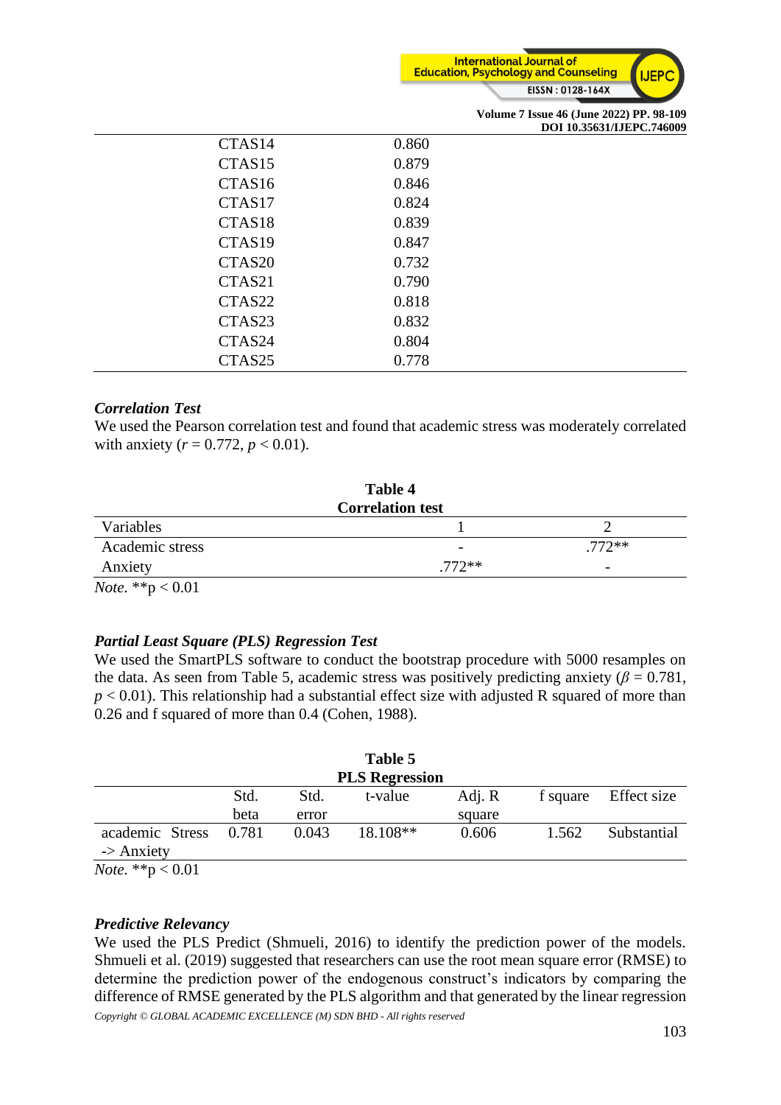

|                    |       | Volume 7 Issue 46 (June 2022) PP. 98-109<br>DOI 10.35631/IJEPC.746009 |
|--------------------|-------|-----------------------------------------------------------------------|
| CTAS <sub>14</sub> | 0.860 |                                                                       |
| CTAS <sub>15</sub> | 0.879 |                                                                       |
| CTAS <sub>16</sub> | 0.846 |                                                                       |
| CTAS17             | 0.824 |                                                                       |
| CTAS <sub>18</sub> | 0.839 |                                                                       |
| CTAS <sub>19</sub> | 0.847 |                                                                       |
| CTAS <sub>20</sub> | 0.732 |                                                                       |
| CTAS21             | 0.790 |                                                                       |
| CTAS22             | 0.818 |                                                                       |
| CTAS23             | 0.832 |                                                                       |
| CTAS24             | 0.804 |                                                                       |
| CTAS <sub>25</sub> | 0.778 |                                                                       |

# *Correlation Test*

We used the Pearson correlation test and found that academic stress was moderately correlated with anxiety ( $r = 0.772$ ,  $p < 0.01$ ).

|                                                              | Table 4                  |                          |
|--------------------------------------------------------------|--------------------------|--------------------------|
|                                                              | <b>Correlation test</b>  |                          |
| Variables                                                    |                          |                          |
| Academic stress                                              | $\overline{\phantom{m}}$ | $.772**$                 |
| Anxiety                                                      | $772**$                  | $\overline{\phantom{0}}$ |
| $\mathcal{M}$ $\rightarrow$ $\mathcal{M}$ $\rightarrow$ 0.01 |                          |                          |

*Note.* \*\*p < 0.01

# *Partial Least Square (PLS) Regression Test*

We used the SmartPLS software to conduct the bootstrap procedure with 5000 resamples on the data. As seen from Table 5, academic stress was positively predicting anxiety ( $\beta$  = 0.781,  $p < 0.01$ ). This relationship had a substantial effect size with adjusted R squared of more than 0.26 and f squared of more than 0.4 (Cohen, 1988).

|                       |       | Table 5  |        |          |             |
|-----------------------|-------|----------|--------|----------|-------------|
| <b>PLS Regression</b> |       |          |        |          |             |
| Std.                  | Std.  | t-value  | Adj. R | f square | Effect size |
| beta                  | error |          | square |          |             |
| 0.781                 | 0.043 | 18.108** | 0.606  | 1.562    | Substantial |
|                       |       |          |        |          |             |

*Note.* \*\*p < 0.01

#### *Predictive Relevancy*

*Copyright © GLOBAL ACADEMIC EXCELLENCE (M) SDN BHD - All rights reserved* We used the PLS Predict (Shmueli, 2016) to identify the prediction power of the models. Shmueli et al. (2019) suggested that researchers can use the root mean square error (RMSE) to determine the prediction power of the endogenous construct's indicators by comparing the difference of RMSE generated by the PLS algorithm and that generated by the linear regression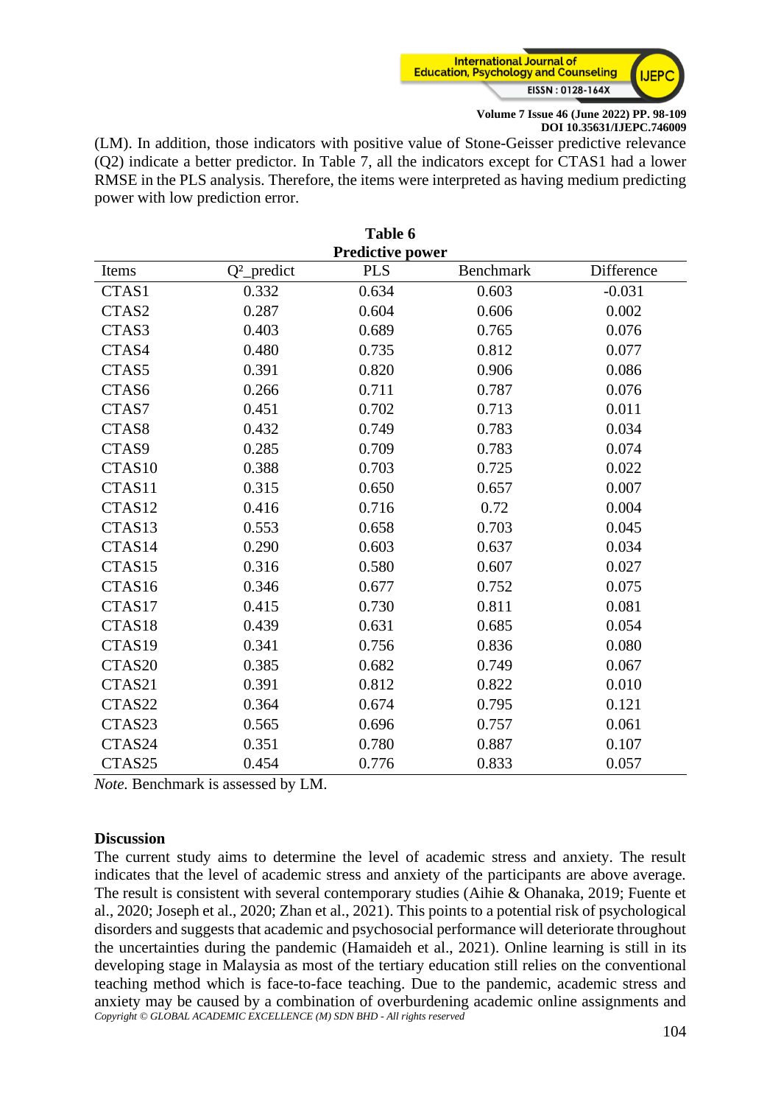

(LM). In addition, those indicators with positive value of Stone-Geisser predictive relevance (Q2) indicate a better predictor. In Table 7, all the indicators except for CTAS1 had a lower RMSE in the PLS analysis. Therefore, the items were interpreted as having medium predicting power with low prediction error.

|                    |                | Table 6                 |                  |            |
|--------------------|----------------|-------------------------|------------------|------------|
|                    |                | <b>Predictive power</b> |                  |            |
| Items              | $Q^2$ _predict | <b>PLS</b>              | <b>Benchmark</b> | Difference |
| CTAS1              | 0.332          | 0.634                   | 0.603            | $-0.031$   |
| CTAS2              | 0.287          | 0.604                   | 0.606            | 0.002      |
| CTAS3              | 0.403          | 0.689                   | 0.765            | 0.076      |
| CTAS4              | 0.480          | 0.735                   | 0.812            | 0.077      |
| CTAS5              | 0.391          | 0.820                   | 0.906            | 0.086      |
| CTAS6              | 0.266          | 0.711                   | 0.787            | 0.076      |
| CTAS7              | 0.451          | 0.702                   | 0.713            | 0.011      |
| CTAS8              | 0.432          | 0.749                   | 0.783            | 0.034      |
| CTAS9              | 0.285          | 0.709                   | 0.783            | 0.074      |
| CTAS <sub>10</sub> | 0.388          | 0.703                   | 0.725            | 0.022      |
| CTAS11             | 0.315          | 0.650                   | 0.657            | 0.007      |
| CTAS12             | 0.416          | 0.716                   | 0.72             | 0.004      |
| CTAS13             | 0.553          | 0.658                   | 0.703            | 0.045      |
| CTAS14             | 0.290          | 0.603                   | 0.637            | 0.034      |
| CTAS15             | 0.316          | 0.580                   | 0.607            | 0.027      |
| CTAS16             | 0.346          | 0.677                   | 0.752            | 0.075      |
| CTAS17             | 0.415          | 0.730                   | 0.811            | 0.081      |
| CTAS18             | 0.439          | 0.631                   | 0.685            | 0.054      |
| CTAS19             | 0.341          | 0.756                   | 0.836            | 0.080      |
| CTAS20             | 0.385          | 0.682                   | 0.749            | 0.067      |
| CTAS21             | 0.391          | 0.812                   | 0.822            | 0.010      |
| CTAS22             | 0.364          | 0.674                   | 0.795            | 0.121      |
| CTAS23             | 0.565          | 0.696                   | 0.757            | 0.061      |
| CTAS24             | 0.351          | 0.780                   | 0.887            | 0.107      |
| CTAS25             | 0.454          | 0.776                   | 0.833            | 0.057      |

*Note.* Benchmark is assessed by LM.

#### **Discussion**

*Copyright © GLOBAL ACADEMIC EXCELLENCE (M) SDN BHD - All rights reserved* The current study aims to determine the level of academic stress and anxiety. The result indicates that the level of academic stress and anxiety of the participants are above average. The result is consistent with several contemporary studies (Aihie & Ohanaka, 2019; Fuente et al., 2020; Joseph et al., 2020; Zhan et al., 2021). This points to a potential risk of psychological disorders and suggests that academic and psychosocial performance will deteriorate throughout the uncertainties during the pandemic (Hamaideh et al., 2021). Online learning is still in its developing stage in Malaysia as most of the tertiary education still relies on the conventional teaching method which is face-to-face teaching. Due to the pandemic, academic stress and anxiety may be caused by a combination of overburdening academic online assignments and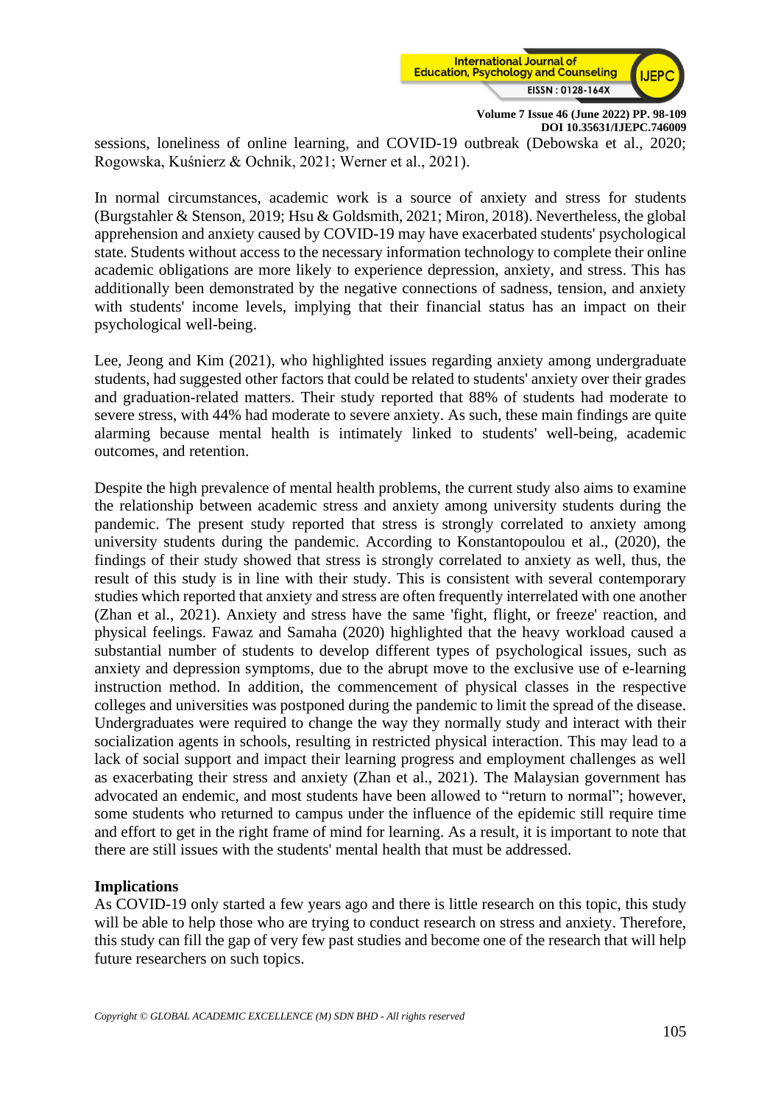

sessions, loneliness of online learning, and COVID-19 outbreak (Debowska et al., 2020; Rogowska, Kuśnierz & Ochnik, 2021; Werner et al., 2021).

In normal circumstances, academic work is a source of anxiety and stress for students (Burgstahler & Stenson, 2019; Hsu & Goldsmith, 2021; Miron, 2018). Nevertheless, the global apprehension and anxiety caused by COVID-19 may have exacerbated students' psychological state. Students without access to the necessary information technology to complete their online academic obligations are more likely to experience depression, anxiety, and stress. This has additionally been demonstrated by the negative connections of sadness, tension, and anxiety with students' income levels, implying that their financial status has an impact on their psychological well-being.

Lee, Jeong and Kim (2021), who highlighted issues regarding anxiety among undergraduate students, had suggested other factors that could be related to students' anxiety over their grades and graduation-related matters. Their study reported that 88% of students had moderate to severe stress, with 44% had moderate to severe anxiety. As such, these main findings are quite alarming because mental health is intimately linked to students' well-being, academic outcomes, and retention.

Despite the high prevalence of mental health problems, the current study also aims to examine the relationship between academic stress and anxiety among university students during the pandemic. The present study reported that stress is strongly correlated to anxiety among university students during the pandemic. According to Konstantopoulou et al., (2020), the findings of their study showed that stress is strongly correlated to anxiety as well, thus, the result of this study is in line with their study. This is consistent with several contemporary studies which reported that anxiety and stress are often frequently interrelated with one another (Zhan et al., 2021). Anxiety and stress have the same 'fight, flight, or freeze' reaction, and physical feelings. Fawaz and Samaha (2020) highlighted that the heavy workload caused a substantial number of students to develop different types of psychological issues, such as anxiety and depression symptoms, due to the abrupt move to the exclusive use of e-learning instruction method. In addition, the commencement of physical classes in the respective colleges and universities was postponed during the pandemic to limit the spread of the disease. Undergraduates were required to change the way they normally study and interact with their socialization agents in schools, resulting in restricted physical interaction. This may lead to a lack of social support and impact their learning progress and employment challenges as well as exacerbating their stress and anxiety (Zhan et al., 2021). The Malaysian government has advocated an endemic, and most students have been allowed to "return to normal"; however, some students who returned to campus under the influence of the epidemic still require time and effort to get in the right frame of mind for learning. As a result, it is important to note that there are still issues with the students' mental health that must be addressed.

# **Implications**

As COVID-19 only started a few years ago and there is little research on this topic, this study will be able to help those who are trying to conduct research on stress and anxiety. Therefore, this study can fill the gap of very few past studies and become one of the research that will help future researchers on such topics.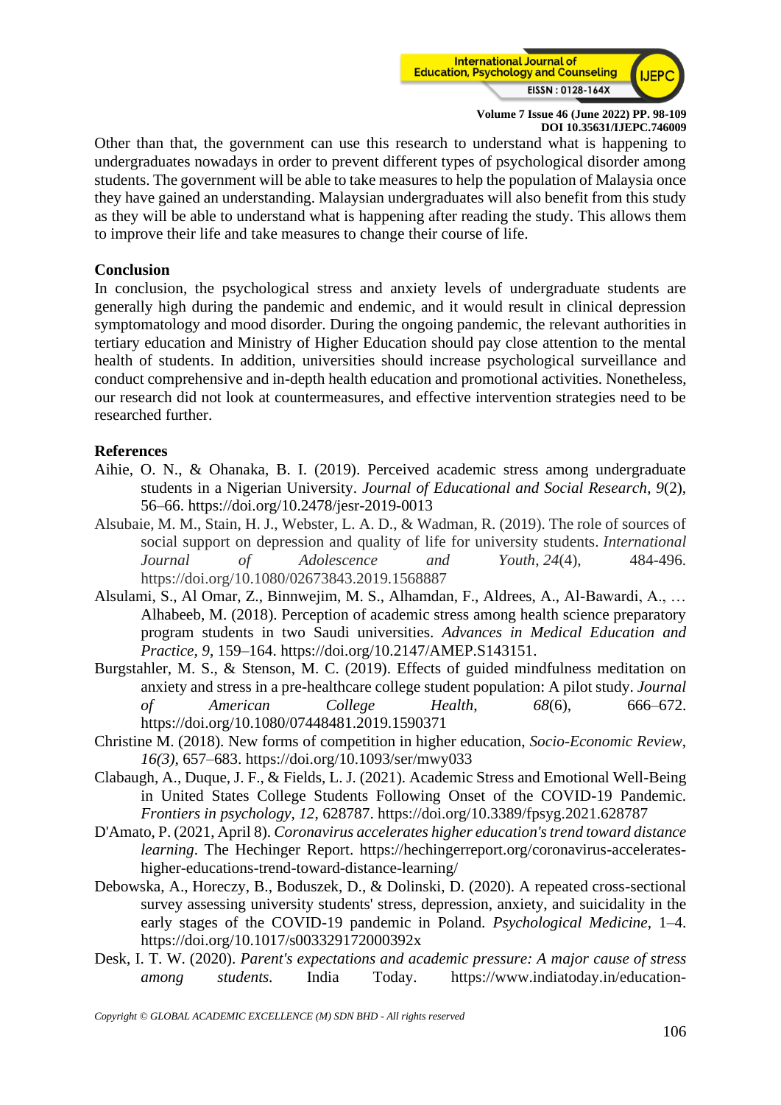

Other than that, the government can use this research to understand what is happening to undergraduates nowadays in order to prevent different types of psychological disorder among students. The government will be able to take measures to help the population of Malaysia once they have gained an understanding. Malaysian undergraduates will also benefit from this study as they will be able to understand what is happening after reading the study. This allows them to improve their life and take measures to change their course of life.

#### **Conclusion**

In conclusion, the psychological stress and anxiety levels of undergraduate students are generally high during the pandemic and endemic, and it would result in clinical depression symptomatology and mood disorder. During the ongoing pandemic, the relevant authorities in tertiary education and Ministry of Higher Education should pay close attention to the mental health of students. In addition, universities should increase psychological surveillance and conduct comprehensive and in-depth health education and promotional activities. Nonetheless, our research did not look at countermeasures, and effective intervention strategies need to be researched further.

#### **References**

- Aihie, O. N., & Ohanaka, B. I. (2019). Perceived academic stress among undergraduate students in a Nigerian University. *Journal of Educational and Social Research*, *9*(2), 56–66. https://doi.org/10.2478/jesr-2019-0013
- Alsubaie, M. M., Stain, H. J., Webster, L. A. D., & Wadman, R. (2019). The role of sources of social support on depression and quality of life for university students. *International Journal of Adolescence and Youth*, *24*(4), 484-496. https://doi.org/10.1080/02673843.2019.1568887
- Alsulami, S., Al Omar, Z., Binnwejim, M. S., Alhamdan, F., Aldrees, A., Al-Bawardi, A., … Alhabeeb, M. (2018). Perception of academic stress among health science preparatory program students in two Saudi universities. *Advances in Medical Education and Practice, 9*, 159–164. [https://doi.org/10.2147/AMEP.S143151.](https://doi.org/10.2147/AMEP.S143151)
- Burgstahler, M. S., & Stenson, M. C. (2019). Effects of guided mindfulness meditation on anxiety and stress in a pre-healthcare college student population: A pilot study. *Journal of American College Health*, *68*(6), 666–672. https://doi.org/10.1080/07448481.2019.1590371
- Christine M. (2018). New forms of competition in higher education, *Socio-Economic Review*, *16(3),* 657–683. <https://doi.org/10.1093/ser/mwy033>
- Clabaugh, A., Duque, J. F., & Fields, L. J. (2021). Academic Stress and Emotional Well-Being in United States College Students Following Onset of the COVID-19 Pandemic. *Frontiers in psychology*, *12*, 628787.<https://doi.org/10.3389/fpsyg.2021.628787>
- D'Amato, P. (2021, April 8). *Coronavirus accelerates higher education's trend toward distance learning*. The Hechinger Report. https://hechingerreport.org/coronavirus-accelerateshigher-educations-trend-toward-distance-learning/
- Debowska, A., Horeczy, B., Boduszek, D., & Dolinski, D. (2020). A repeated cross-sectional survey assessing university students' stress, depression, anxiety, and suicidality in the early stages of the COVID-19 pandemic in Poland. *Psychological Medicine*, 1–4. https://doi.org/10.1017/s003329172000392x
- Desk, I. T. W. (2020). *Parent's expectations and academic pressure: A major cause of stress among students.* India Today. [https://www.indiatoday.in/education-](https://www.indiatoday.in/education-today/featurephilia/story/parent-s-expectations-and-academic-pressure-a-major-cause-of-stress-among-students-1743857-2020-11-25)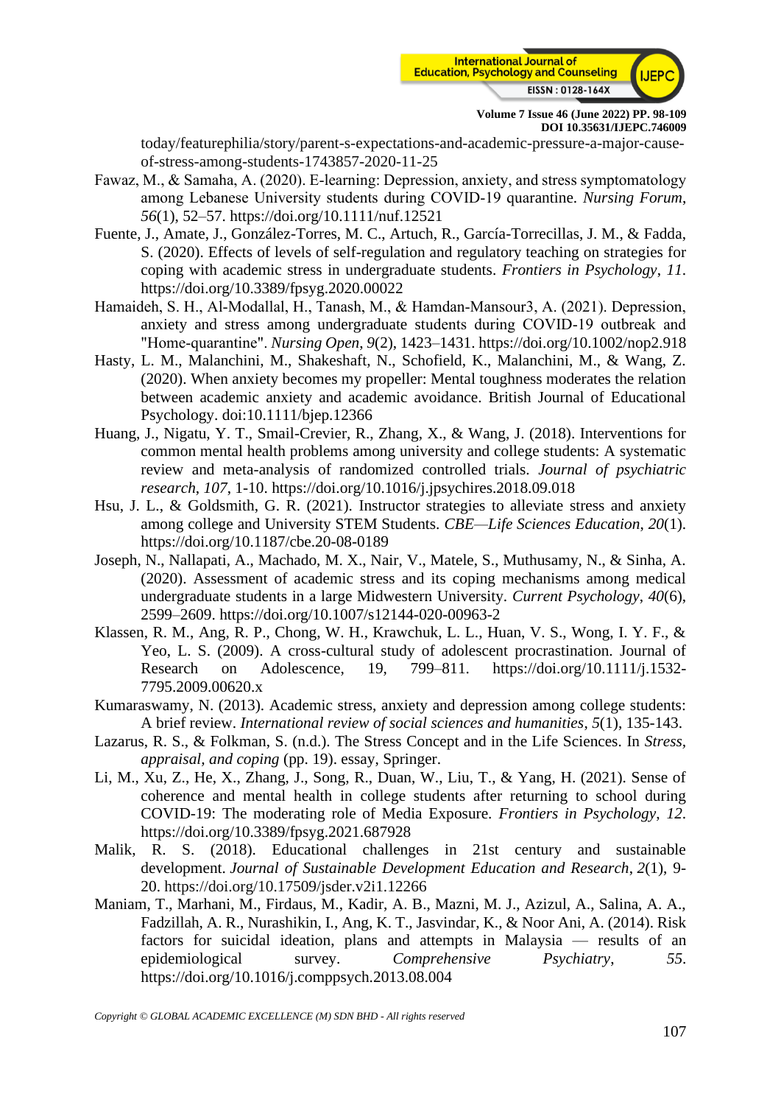

[today/featurephilia/story/parent-s-expectations-and-academic-pressure-a-major-cause](https://www.indiatoday.in/education-today/featurephilia/story/parent-s-expectations-and-academic-pressure-a-major-cause-of-stress-among-students-1743857-2020-11-25)[of-stress-among-students-1743857-2020-11-25](https://www.indiatoday.in/education-today/featurephilia/story/parent-s-expectations-and-academic-pressure-a-major-cause-of-stress-among-students-1743857-2020-11-25)

- Fawaz, M., & Samaha, A. (2020). E‐learning: Depression, anxiety, and stress symptomatology among Lebanese University students during COVID‐19 quarantine. *Nursing Forum*, *56*(1), 52–57. https://doi.org/10.1111/nuf.12521
- Fuente, J., Amate, J., González-Torres, M. C., Artuch, R., García-Torrecillas, J. M., & Fadda, S. (2020). Effects of levels of self-regulation and regulatory teaching on strategies for coping with academic stress in undergraduate students. *Frontiers in Psychology*, *11*. https://doi.org/10.3389/fpsyg.2020.00022
- Hamaideh, S. H., Al‐Modallal, H., Tanash, M., & Hamdan‐Mansour3, A. (2021). Depression, anxiety and stress among undergraduate students during COVID‐19 outbreak and "Home‐quarantine". *Nursing Open*, *9*(2), 1423–1431. https://doi.org/10.1002/nop2.918
- Hasty, L. M., Malanchini, M., Shakeshaft, N., Schofield, K., Malanchini, M., & Wang, Z. (2020). When anxiety becomes my propeller: Mental toughness moderates the relation between academic anxiety and academic avoidance. British Journal of Educational Psychology. doi:10.1111/bjep.12366
- Huang, J., Nigatu, Y. T., Smail-Crevier, R., Zhang, X., & Wang, J. (2018). Interventions for common mental health problems among university and college students: A systematic review and meta-analysis of randomized controlled trials. *Journal of psychiatric research*, *107*, 1-10. https://doi.org/10.1016/j.jpsychires.2018.09.018
- Hsu, J. L., & Goldsmith, G. R. (2021). Instructor strategies to alleviate stress and anxiety among college and University STEM Students. *CBE—Life Sciences Education*, *20*(1). https://doi.org/10.1187/cbe.20-08-0189
- Joseph, N., Nallapati, A., Machado, M. X., Nair, V., Matele, S., Muthusamy, N., & Sinha, A. (2020). Assessment of academic stress and its coping mechanisms among medical undergraduate students in a large Midwestern University. *Current Psychology*, *40*(6), 2599–2609. https://doi.org/10.1007/s12144-020-00963-2
- Klassen, R. M., Ang, R. P., Chong, W. H., Krawchuk, L. L., Huan, V. S., Wong, I. Y. F., & Yeo, L. S. (2009). A cross-cultural study of adolescent procrastination. Journal of Research on Adolescence, 19, 799–811. https://doi.org/10.1111/j.1532- 7795.2009.00620.x
- Kumaraswamy, N. (2013). Academic stress, anxiety and depression among college students: A brief review. *International review of social sciences and humanities*, *5*(1), 135-143.
- Lazarus, R. S., & Folkman, S. (n.d.). The Stress Concept and in the Life Sciences. In *Stress, appraisal, and coping* (pp. 19). essay, Springer.
- Li, M., Xu, Z., He, X., Zhang, J., Song, R., Duan, W., Liu, T., & Yang, H. (2021). Sense of coherence and mental health in college students after returning to school during COVID-19: The moderating role of Media Exposure. *Frontiers in Psychology*, *12*. https://doi.org/10.3389/fpsyg.2021.687928
- Malik, R. S. (2018). Educational challenges in 21st century and sustainable development. *Journal of Sustainable Development Education and Research*, *2*(1), 9- 20.<https://doi.org/10.17509/jsder.v2i1.12266>
- Maniam, T., Marhani, M., Firdaus, M., Kadir, A. B., Mazni, M. J., Azizul, A., Salina, A. A., Fadzillah, A. R., Nurashikin, I., Ang, K. T., Jasvindar, K., & Noor Ani, A. (2014). Risk factors for suicidal ideation, plans and attempts in Malaysia — results of an epidemiological survey. *Comprehensive Psychiatry*, *55*. https://doi.org/10.1016/j.comppsych.2013.08.004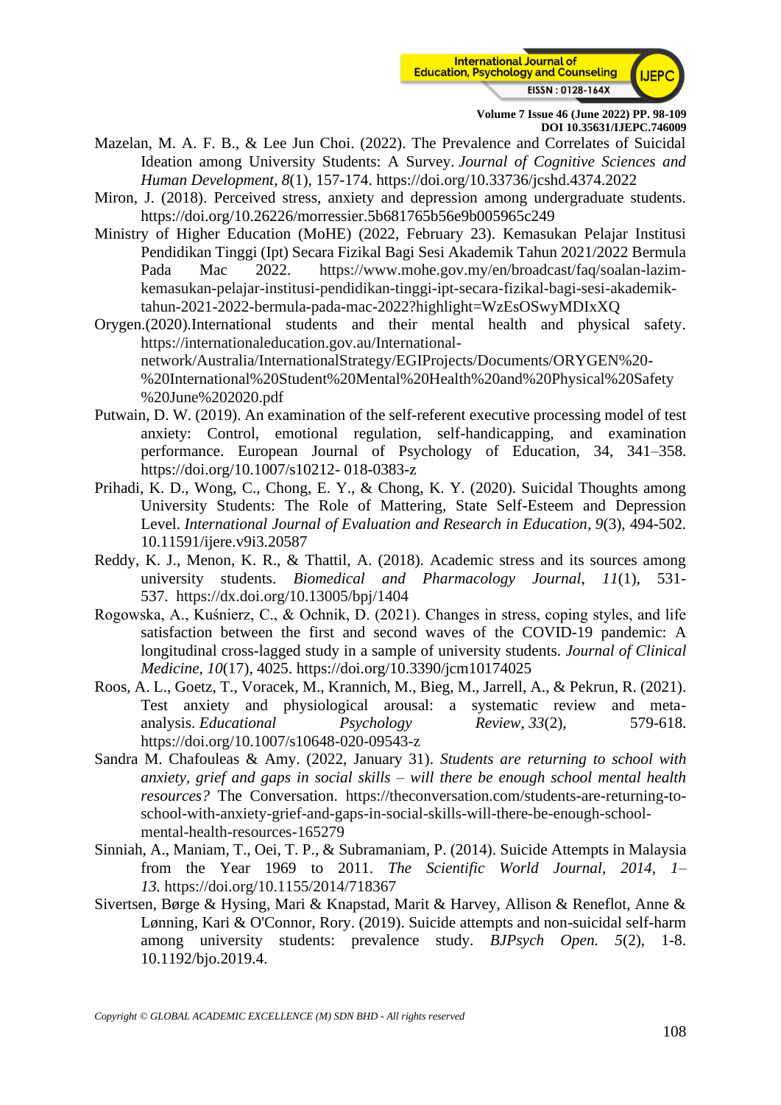

- Mazelan, M. A. F. B., & Lee Jun Choi. (2022). The Prevalence and Correlates of Suicidal Ideation among University Students: A Survey. *Journal of Cognitive Sciences and Human Development*, *8*(1), 157-174. https://doi.org/10.33736/jcshd.4374.2022
- Miron, J. (2018). Perceived stress, anxiety and depression among undergraduate students. https://doi.org/10.26226/morressier.5b681765b56e9b005965c249
- Ministry of Higher Education (MoHE) (2022, February 23). Kemasukan Pelajar Institusi Pendidikan Tinggi (Ipt) Secara Fizikal Bagi Sesi Akademik Tahun 2021/2022 Bermula Pada Mac 2022. [https://www.mohe.gov.my/en/broadcast/faq/soalan-lazim](https://www.mohe.gov.my/en/broadcast/faq/soalan-lazim-kemasukan-pelajar-institusi-pendidikan-tinggi-ipt-secara-fizikal-bagi-sesi-akademik-tahun-2021-2022-bermula-pada-mac-2022?highlight=WzEsOSwyMDIxXQ)[kemasukan-pelajar-institusi-pendidikan-tinggi-ipt-secara-fizikal-bagi-sesi-akademik](https://www.mohe.gov.my/en/broadcast/faq/soalan-lazim-kemasukan-pelajar-institusi-pendidikan-tinggi-ipt-secara-fizikal-bagi-sesi-akademik-tahun-2021-2022-bermula-pada-mac-2022?highlight=WzEsOSwyMDIxXQ)[tahun-2021-2022-bermula-pada-mac-2022?highlight=WzEsOSwyMDIxXQ](https://www.mohe.gov.my/en/broadcast/faq/soalan-lazim-kemasukan-pelajar-institusi-pendidikan-tinggi-ipt-secara-fizikal-bagi-sesi-akademik-tahun-2021-2022-bermula-pada-mac-2022?highlight=WzEsOSwyMDIxXQ)
- Orygen.(2020).International students and their mental health and physical safety. [https://internationaleducation.gov.au/International](https://internationaleducation.gov.au/International-network/Australia/InternationalStrategy/EGIProjects/Documents/ORYGEN%20-%20International%20Student%20Mental%20Health%20and%20Physical%20Safety%20June%202020.pdf)[network/Australia/InternationalStrategy/EGIProjects/Documents/ORYGEN%20-](https://internationaleducation.gov.au/International-network/Australia/InternationalStrategy/EGIProjects/Documents/ORYGEN%20-%20International%20Student%20Mental%20Health%20and%20Physical%20Safety%20June%202020.pdf) [%20International%20Student%20Mental%20Health%20and%20Physical%20Safety](https://internationaleducation.gov.au/International-network/Australia/InternationalStrategy/EGIProjects/Documents/ORYGEN%20-%20International%20Student%20Mental%20Health%20and%20Physical%20Safety%20June%202020.pdf) [%20June%202020.pdf](https://internationaleducation.gov.au/International-network/Australia/InternationalStrategy/EGIProjects/Documents/ORYGEN%20-%20International%20Student%20Mental%20Health%20and%20Physical%20Safety%20June%202020.pdf)
- Putwain, D. W. (2019). An examination of the self-referent executive processing model of test anxiety: Control, emotional regulation, self-handicapping, and examination performance. European Journal of Psychology of Education, 34, 341–358. https://doi.org/10.1007/s10212- 018-0383-z
- Prihadi, K. D., Wong, C., Chong, E. Y., & Chong, K. Y. (2020). Suicidal Thoughts among University Students: The Role of Mattering, State Self-Esteem and Depression Level. *International Journal of Evaluation and Research in Education*, *9*(3), 494-502. 10.11591/ijere.v9i3.20587
- Reddy, K. J., Menon, K. R., & Thattil, A. (2018). Academic stress and its sources among university students. *Biomedical and Pharmacology Journal*, *11*(1), 531- 537. <https://dx.doi.org/10.13005/bpj/1404>
- Rogowska, A., Kuśnierz, C., & Ochnik, D. (2021). Changes in stress, coping styles, and life satisfaction between the first and second waves of the COVID-19 pandemic: A longitudinal cross-lagged study in a sample of university students. *Journal of Clinical Medicine*, *10*(17), 4025. https://doi.org/10.3390/jcm10174025
- Roos, A. L., Goetz, T., Voracek, M., Krannich, M., Bieg, M., Jarrell, A., & Pekrun, R. (2021). Test anxiety and physiological arousal: a systematic review and metaanalysis. *Educational Psychology Review*, *33*(2), 579-618. <https://doi.org/10.1007/s10648-020-09543-z>
- Sandra M. Chafouleas & Amy. (2022, January 31). *Students are returning to school with anxiety, grief and gaps in social skills – will there be enough school mental health resources?* The Conversation. [https://theconversation.com/students-are-returning-to](https://theconversation.com/students-are-returning-to-school-with-anxiety-grief-and-gaps-in-social-skills-will-there-be-enough-school-mental-health-resources-165279)[school-with-anxiety-grief-and-gaps-in-social-skills-will-there-be-enough-school](https://theconversation.com/students-are-returning-to-school-with-anxiety-grief-and-gaps-in-social-skills-will-there-be-enough-school-mental-health-resources-165279)[mental-health-resources-165279](https://theconversation.com/students-are-returning-to-school-with-anxiety-grief-and-gaps-in-social-skills-will-there-be-enough-school-mental-health-resources-165279)
- Sinniah, A., Maniam, T., Oei, T. P., & Subramaniam, P. (2014). Suicide Attempts in Malaysia from the Year 1969 to 2011. *The Scientific World Journal, 2014, 1– 13.* <https://doi.org/10.1155/2014/718367>
- Sivertsen, Børge & Hysing, Mari & Knapstad, Marit & Harvey, Allison & Reneflot, Anne & Lønning, Kari & O'Connor, Rory. (2019). Suicide attempts and non-suicidal self-harm among university students: prevalence study*. BJPsych Open. 5*(2), 1-8. 10.1192/bjo.2019.4.